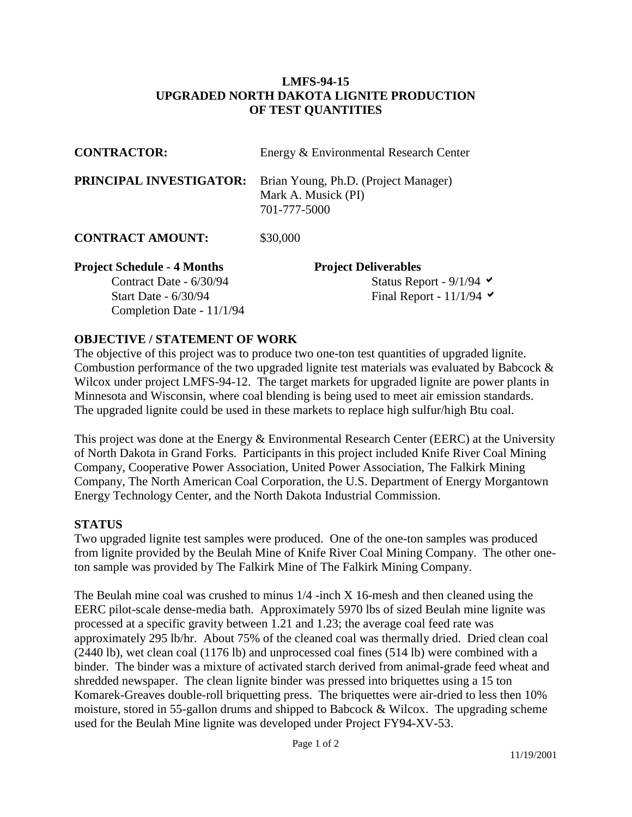## **LMFS-94-15 UPGRADED NORTH DAKOTA LIGNITE PRODUCTION OF TEST QUANTITIES**

| <b>CONTRACTOR:</b>                 | Energy & Environmental Research Center<br>Brian Young, Ph.D. (Project Manager)<br>Mark A. Musick (PI)<br>701-777-5000 |  |  |
|------------------------------------|-----------------------------------------------------------------------------------------------------------------------|--|--|
| PRINCIPAL INVESTIGATOR:            |                                                                                                                       |  |  |
| <b>CONTRACT AMOUNT:</b>            | \$30,000                                                                                                              |  |  |
| <b>Project Schedule - 4 Months</b> | <b>Project Deliverables</b>                                                                                           |  |  |
| Contract Date - 6/30/94            | Status Report - $9/1/94$ $\blacktriangleright$                                                                        |  |  |
| Start Date - 6/30/94               | Final Report - $11/1/94$ $\blacktriangleright$                                                                        |  |  |
| Completion Date - 11/1/94          |                                                                                                                       |  |  |

## **OBJECTIVE / STATEMENT OF WORK**

The objective of this project was to produce two one-ton test quantities of upgraded lignite. Combustion performance of the two upgraded lignite test materials was evaluated by Babcock & Wilcox under project LMFS-94-12. The target markets for upgraded lignite are power plants in Minnesota and Wisconsin, where coal blending is being used to meet air emission standards. The upgraded lignite could be used in these markets to replace high sulfur/high Btu coal.

This project was done at the Energy & Environmental Research Center (EERC) at the University of North Dakota in Grand Forks. Participants in this project included Knife River Coal Mining Company, Cooperative Power Association, United Power Association, The Falkirk Mining Company, The North American Coal Corporation, the U.S. Department of Energy Morgantown Energy Technology Center, and the North Dakota Industrial Commission.

## **STATUS**

Two upgraded lignite test samples were produced. One of the one-ton samples was produced from lignite provided by the Beulah Mine of Knife River Coal Mining Company. The other oneton sample was provided by The Falkirk Mine of The Falkirk Mining Company.

The Beulah mine coal was crushed to minus 1/4 -inch X 16-mesh and then cleaned using the EERC pilot-scale dense-media bath. Approximately 5970 lbs of sized Beulah mine lignite was processed at a specific gravity between 1.21 and 1.23; the average coal feed rate was approximately 295 lb/hr. About 75% of the cleaned coal was thermally dried. Dried clean coal (2440 lb), wet clean coal (1176 lb) and unprocessed coal fines (514 lb) were combined with a binder. The binder was a mixture of activated starch derived from animal-grade feed wheat and shredded newspaper. The clean lignite binder was pressed into briquettes using a 15 ton Komarek-Greaves double-roll briquetting press. The briquettes were air-dried to less then 10% moisture, stored in 55-gallon drums and shipped to Babcock & Wilcox. The upgrading scheme used for the Beulah Mine lignite was developed under Project FY94-XV-53.